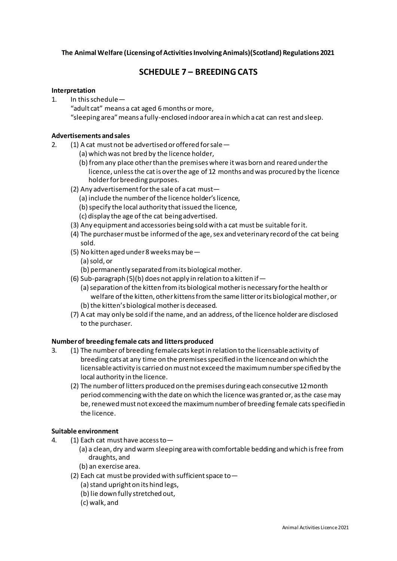## **The Animal Welfare (Licensing of Activities Involving Animals)(Scotland) Regulations 2021**

# **SCHEDULE 7 – BREEDING CATS**

### **Interpretation**

- 1. In this schedule—
	- "adult cat" means a cat aged 6 months or more,

"sleeping area" means a fully-enclosed indoor area in which a cat can rest and sleep.

## **Advertisements and sales**

- 2. (1) A cat must not be advertised or offered for sale—
	- (a) which was not bred by the licence holder,
	- (b) from any place other than the premises where it was born and reared under the licence, unless the cat is over the age of 12 months and was procured by the licence holder for breeding purposes.
	- (2) Any advertisement for the sale of a cat must—
		- (a) include the number of the licence holder's licence,
		- (b) specify the local authority that issued the licence,
		- (c) display the age of the cat being advertised.
	- (3) Any equipment and accessories being sold with a cat must be suitable for it.
	- (4) The purchaser must be informed of the age, sex and veterinary record of the cat being sold.
	- (5) No kitten aged under 8 weeks may be—
		- (a) sold, or
		- (b) permanently separated from its biological mother.
	- (6) Sub-paragraph (5)(b) does not apply in relation to a kitten if  $-$ 
		- (a) separation of the kitten from its biological mother is necessary for the health or welfare of the kitten, other kittens from the same litter or its biological mother, or (b) the kitten's biological mother is deceased.
	- (7) A cat may only be sold if the name, and an address, of the licence holder are disclosed to the purchaser.

# **Number of breeding female cats and litters produced**

- 3. (1) The number of breeding female cats kept in relation to the licensable activity of breeding cats at any time on the premises specified in the licence and on which the licensableactivity is carried on must not exceed the maximum number specified by the local authority in the licence.
	- (2) The number of litters produced on the premises during each consecutive 12 month period commencing with the date on which the licence was granted or, as the case may be, renewed must not exceed the maximum number of breeding female cats specified in the licence.

# **Suitable environment**

- 4. (1) Each cat must have access to—
	- (a) a clean, dry and warm sleeping area with comfortable bedding and which is free from draughts, and
	- (b) an exercise area.
	- (2) Each cat must be provided with sufficient space to—
		- (a) stand upright on its hind legs,
		- (b) lie down fully stretched out,
		- (c) walk, and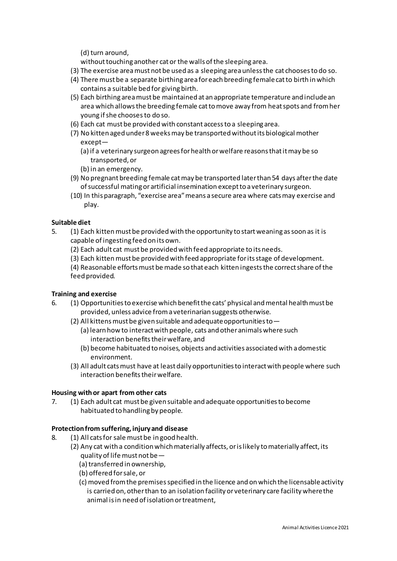(d) turn around,

without touching another cat or the walls of the sleeping area.

- (3) The exercise area must not be used as a sleeping area unless the cat chooses to do so.
- (4) There must be a separate birthing area for each breeding female catto birth in which contains a suitable bed for giving birth.
- (5) Each birthing area must be maintained at an appropriate temperature and include an area which allows the breeding female catto move away from heat spots and from her young if she chooses to do so.
- (6) Each cat must be provided with constant access to a sleeping area.
- (7) No kitten aged under 8 weeks may be transported without its biological mother except—
	- (a) if a veterinary surgeon agrees for health or welfare reasons that it may be so transported, or
	- (b) in an emergency.
- (9) No pregnant breeding female catmay be transported later than 54 days after the date ofsuccessful mating or artificial insemination except to a veterinary surgeon.
- (10) In this paragraph, "exercise area" means a secure area where cats may exercise and play.

## **Suitable diet**

- 5. (1) Each kittenmust be provided with the opportunity to start weaning as soon as it is capable of ingesting feed on its own.
	- (2) Each adult cat must be provided with feed appropriate to its needs.
	- (3) Each kittenmust be provided with feed appropriate for its stage of development.

(4) Reasonable efforts must be made so that each kitten ingests the correct share of the feed provided.

#### **Training and exercise**

- 6. (1) Opportunities to exercise which benefit the cats' physical and mental health must be provided, unless advice from a veterinarian suggests otherwise.
	- (2) All kittens must be given suitable and adequate opportunities to  $-$ 
		- (a) learn how to interact with people, cats and other animals where such interaction benefits their welfare, and
		- (b) become habituated to noises, objects and activities associated with a domestic environment.
	- (3) All adult cats must have at least daily opportunities to interact with people where such interaction benefits their welfare.

#### **Housing with or apart from other cats**

7. (1) Each adult cat must be given suitable and adequate opportunities to become habituated to handling by people.

#### **Protection from suffering, injury and disease**

- 8. (1) All cats for sale must be in good health.
	- (2) Any cat with a condition which materially affects, or is likely to materially affect, its quality of life must not be—
		- (a) transferred in ownership,
		- (b) offered for sale, or
		- (c) moved from the premises specified in the licence and on which the licensable activity is carried on, other than to an isolation facility or veterinary care facility where the animal is in need of isolation or treatment,